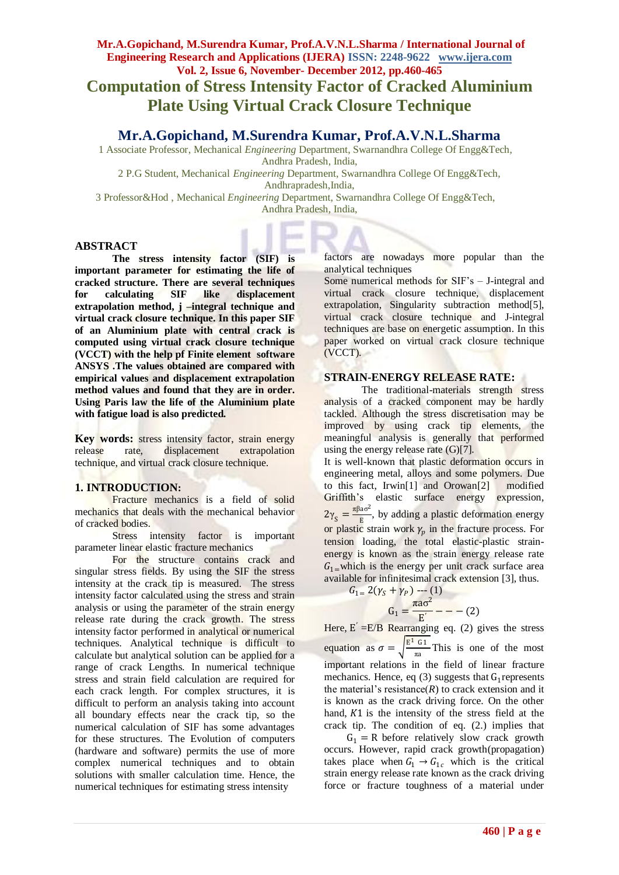# **Mr.A.Gopichand, M.Surendra Kumar, Prof.A.V.N.L.Sharma / International Journal of Engineering Research and Applications (IJERA) ISSN: 2248-9622 www.ijera.com Vol. 2, Issue 6, November- December 2012, pp.460-465 Computation of Stress Intensity Factor of Cracked Aluminium Plate Using Virtual Crack Closure Technique**

## **Mr.A.Gopichand, M.Surendra Kumar, Prof.A.V.N.L.Sharma**

 1 Associate Professor, Mechanical *Engineering* Department, Swarnandhra College Of Engg&Tech, Andhra Pradesh, India,

2 P.G Student, Mechanical *Engineering* Department, Swarnandhra College Of Engg&Tech, Andhrapradesh,India,

3 Professor&Hod , Mechanical *Engineering* Department, Swarnandhra College Of Engg&Tech,

Andhra Pradesh, India,

#### **ABSTRACT**

**The stress intensity factor (SIF) is important parameter for estimating the life of cracked structure. There are several techniques for calculating SIF like displacement extrapolation method, j –integral technique and virtual crack closure technique. In this paper SIF of an Aluminium plate with central crack is computed using virtual crack closure technique (VCCT) with the help pf Finite element software ANSYS .The values obtained are compared with empirical values and displacement extrapolation method values and found that they are in order. Using Paris law the life of the Aluminium plate with fatigue load is also predicted.** 

Key words: stress intensity factor, strain energy release rate, displacement extrapolation technique, and virtual crack closure technique.

## **1. INTRODUCTION:**

Fracture mechanics is a field of solid mechanics that deals with the mechanical behavior of cracked bodies.

Stress intensity factor is important parameter linear elastic fracture mechanics

For the structure contains crack and singular stress fields. By using the SIF the stress intensity at the crack tip is measured. The stress intensity factor calculated using the stress and strain analysis or using the parameter of the strain energy release rate during the crack growth. The stress intensity factor performed in analytical or numerical techniques. Analytical technique is difficult to calculate but analytical solution can be applied for a range of crack Lengths. In numerical technique stress and strain field calculation are required for each crack length. For complex structures, it is difficult to perform an analysis taking into account all boundary effects near the crack tip, so the numerical calculation of SIF has some advantages for these structures. The Evolution of computers (hardware and software) permits the use of more complex numerical techniques and to obtain solutions with smaller calculation time. Hence, the numerical techniques for estimating stress intensity

factors are nowadays more popular than the analytical techniques

Some numerical methods for SIF's – J-integral and virtual crack closure technique, displacement extrapolation, Singularity subtraction method<sup>[5]</sup>, virtual crack closure technique and J-integral techniques are base on energetic assumption. In this paper worked on virtual crack closure technique (VCCT).

#### **STRAIN-ENERGY RELEASE RATE:**

The traditional-materials strength stress analysis of a cracked component may be hardly tackled. Although the stress discretisation may be improved by using crack tip elements, the meaningful analysis is generally that performed using the energy release rate (G)[7].

It is well-known that plastic deformation occurs in engineering metal, alloys and some polymers. Due to this fact, Irwin[1] and Orowan[2] modified Griffith's elastic surface energy expression,  $2\gamma_S = \frac{\pi \beta a \sigma^2}{E}$  $\frac{a_0}{E}$ , by adding a plastic deformation energy or plastic strain work  $\gamma_p$  in the fracture process. For tension loading, the total elastic-plastic strainenergy is known as the strain energy release rate  $G_1$ =which is the energy per unit crack surface area available for infinitesimal crack extension [3], thus.

$$
G_{1=} 2(\gamma_S + \gamma_P) \cdots (1)
$$
  

$$
G_1 = \frac{\pi a \sigma^2}{E'} - - - (2)
$$

Here,  $E' = E/B$  Rearranging eq. (2) gives the stress equation as  $\sigma = \int_0^{\frac{\mathbf{E}^1}{2} \cdot \mathbf{G}^1}$  $\frac{u_1}{\pi a}$  This is one of the most important relations in the field of linear fracture mechanics. Hence, eq (3) suggests that  $G_1$  represents the material's resistance $(R)$  to crack extension and it is known as the crack driving force. On the other hand,  $K1$  is the intensity of the stress field at the crack tip. The condition of eq. (2.) implies that

 $G_1 = R$  before relatively slow crack growth occurs. However, rapid crack growth(propagation) takes place when  $G_1 \rightarrow G_{1c}$  which is the critical strain energy release rate known as the crack driving force or fracture toughness of a material under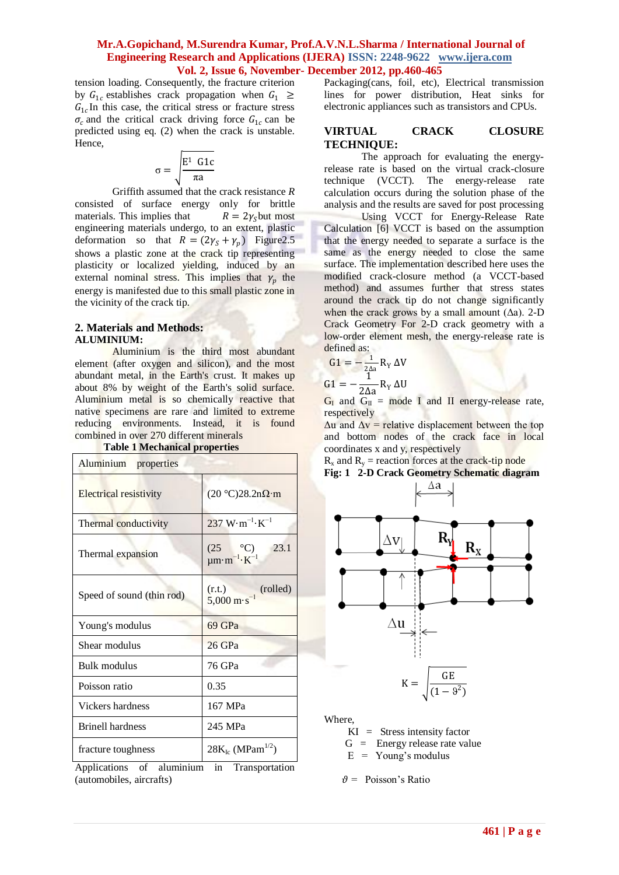tension loading. Consequently, the fracture criterion by  $G_{1c}$  establishes crack propagation when  $G_1 \geq$  $G_{1c}$ In this case, the critical stress or fracture stress  $\sigma_c$  and the critical crack driving force  $G_{1c}$  can be predicted using eq. (2) when the crack is unstable. Hence,

$$
\sigma = \sqrt{\frac{E^1 \text{ G1c}}{\pi a}}
$$

Griffith assumed that the crack resistance *R*  consisted of surface energy only for brittle materials. This implies that  $R = 2\gamma_s$  but most engineering materials undergo, to an extent, plastic deformation so that  $R = (2\gamma_S + \gamma_p)$  Figure 2.5 shows a plastic zone at the crack tip representing plasticity or localized yielding, induced by an external nominal stress. This implies that  $\gamma_p$  the energy is manifested due to this small plastic zone in the vicinity of the crack tip.

## **2. Materials and Methods: ALUMINIUM:**

Aluminium is [the third most abundant](http://en.wikipedia.org/wiki/Abundance_of_elements_in_Earth%27s_crust)  [element](http://en.wikipedia.org/wiki/Abundance_of_elements_in_Earth%27s_crust) (after [oxygen](http://en.wikipedia.org/wiki/Oxygen) and [silicon\)](http://en.wikipedia.org/wiki/Silicon), and the [most](http://en.wikipedia.org/wiki/Element_abundance)  [abundant metal,](http://en.wikipedia.org/wiki/Element_abundance) in the [Earth's](http://en.wikipedia.org/wiki/Earth) [crust.](http://en.wikipedia.org/wiki/Crust_%28geology%29) It makes up about 8% by weight of the Earth's solid surface. Aluminium metal is so chemically reactive that native specimens are rare and limited to extreme [reducing](http://en.wikipedia.org/wiki/Redox) environments. Instead, it is found combined in over 270 different [minerals](http://en.wikipedia.org/wiki/Mineral)

| Aluminium properties      |                                                             |
|---------------------------|-------------------------------------------------------------|
| Electrical resistivity    | $(20 °C)28.2n\Omega m$                                      |
| Thermal conductivity      | $237 \text{ W} \cdot \text{m}^{-1} \cdot \text{K}^{-1}$     |
| Thermal expansion         | $(25 \n°C)\nµm·m-1·K-1$<br>23.1                             |
| Speed of sound (thin rod) | (r.t.)<br>(rolled)<br>$5,000 \text{ m} \cdot \text{s}^{-1}$ |
| Young's modulus           | 69 GPa                                                      |
| Shear modulus             | 26 GPa                                                      |
| Bulk modulus              | 76 GPa                                                      |
| Poisson ratio             | 0.35                                                        |
| Vickers hardness          | 167 MPa                                                     |
| <b>Brinell hardness</b>   | 245 MPa                                                     |
| fracture toughness        | $28K_{Ic}$ (MPam <sup>1/2</sup> )                           |

**Table 1 Mechanical properties**

Applications of aluminium in Transportation (automobiles, aircrafts)

Packaging[\(cans,](http://en.wikipedia.org/wiki/Aluminium_can) foil, etc), [Electrical transmission](http://en.wikipedia.org/wiki/Electrical_transmission_line)  [lines](http://en.wikipedia.org/wiki/Electrical_transmission_line) for power distribution, [Heat sinks](http://en.wikipedia.org/wiki/Heat_sink) for electronic appliances such as [transistors](http://en.wikipedia.org/wiki/Transistor) an[d CPUs.](http://en.wikipedia.org/wiki/Central_processing_unit)

#### **VIRTUAL CRACK CLOSURE TECHNIQUE:**

The approach for evaluating the energyrelease rate is based on the virtual crack-closure technique (VCCT). The energy-release rate calculation occurs during the solution phase of the analysis and the results are saved for post processing

Using VCCT for Energy-Release Rate Calculation [6] VCCT is based on the assumption that the energy needed to separate a surface is the same as the energy needed to close the same surface. The implementation described here uses the modified crack-closure method (a VCCT-based method) and assumes further that stress states around the crack tip do not change significantly when the crack grows by a small amount  $(\Delta a)$ . 2-D Crack Geometry For 2-D crack geometry with a low-order element mesh, the energy-release rate is defined as:

$$
G1 = -\frac{1}{2\Delta a} R_Y \Delta V
$$

$$
G1 = -\frac{1}{2\Delta a} R_{Y} \Delta U
$$

 $G_I$  and  $G_{II}$  = mode I and II energy-release rate, respectively

 $\Delta u$  and  $\Delta v$  = relative displacement between the top and bottom nodes of the crack face in local coordinates x and y, respectively

 $R_x$  and  $R_y$  = reaction forces at the crack-tip node **Fig: 1 2-D Crack Geometry Schematic diagram**



Where,

 $KI =$  Stress intensity factor

- $G =$  Energy release rate value
- $E = Young's$  modulus
- $\vartheta$  = Poisson's Ratio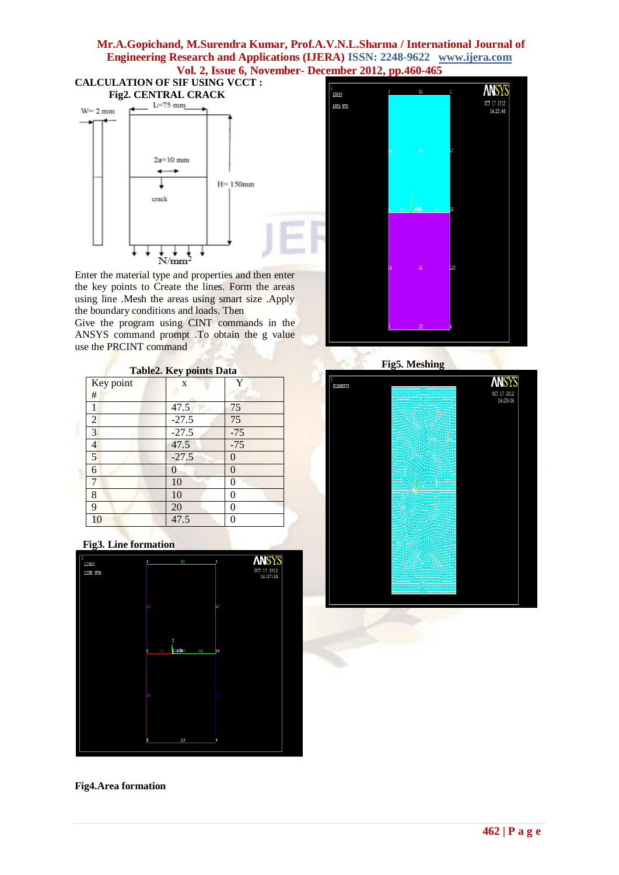

Enter the material type and properties and then enter the key points to Create the lines. Form the areas using line .Mesh the areas using smart size .Apply the boundary conditions and loads. Then

Give the program using CINT commands in the ANSYS command prompt .To obtain the g value use the PRCINT command

| <b>Table2. Key points Data</b> |  |  |  |  |  |
|--------------------------------|--|--|--|--|--|
| Key point                      |  |  |  |  |  |
|                                |  |  |  |  |  |

| . .<br>#       |                 |       |
|----------------|-----------------|-------|
|                | 47.5            | 75    |
| $\overline{2}$ | $-27.5$         | 75    |
| $\overline{3}$ | $-27.5$         | $-75$ |
| $\overline{a}$ | 47.5            | $-75$ |
| $\overline{5}$ | $-27.5$         | 0     |
| 6              | $\overline{0}$  | 0     |
| 7              | $\overline{10}$ | U     |
| 8              | 10              | 0     |
| 9              | $\overline{20}$ | O     |
| 10             | 47.5            |       |

## **Fig3. Line formation**



## **Fig4.Area formation**



 **Fig5. Meshing** 

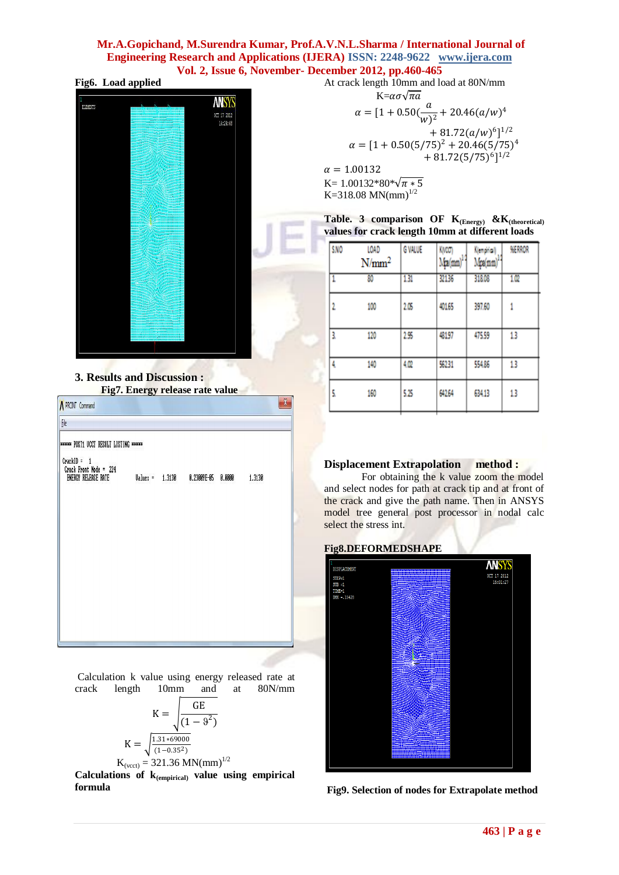| Fig6. Load applied |
|--------------------|
|--------------------|



**3. Results and Discussion : Fig7. Energy release rate value**

| <b>***** POST1 UCCT RESULT LISTING *****</b> |  |                                    |  |
|----------------------------------------------|--|------------------------------------|--|
|                                              |  | 1.3130                             |  |
|                                              |  |                                    |  |
|                                              |  |                                    |  |
|                                              |  |                                    |  |
|                                              |  | Values = 1.3130 0.23009E-05 0.0000 |  |

Calculation k value using energy released rate at crack length 10mm and at 80N/mm

$$
K = \sqrt{\frac{GE}{(1 - 9^2)}}
$$

$$
K = \sqrt{\frac{1.31 * 69000}{(1 - 0.35^2)}}
$$

 $K_{(vcct)} = 321.36$  MN(mm)<sup>1/2</sup>

**Calculations of k(empirical) value using empirical formula**

At crack length 10mm and load at 80N/mm  $K=\alpha\sigma\sqrt{\pi a}$  $\alpha = [1 + 0.50(\frac{a}{a})]$  $\frac{a}{(w)^2}$  + 20.46(a/w)<sup>4</sup>  $+81.72(a/w)^{6}$ <sup>1/2</sup>  $\alpha = [1 + 0.50(5/75)^2 + 20.46(5/75)^4]$  $+81.72(5/75)^{6}$ <sup>1/2</sup>  $\alpha = 1.00132$ K= 1.00132\*80\* $\sqrt{\pi * 5}$ K=318.08 MN(mm)<sup>1/2</sup>

| Table. 3 comparison OF $K_{(Energy)}$ & $K_{(theoretical)}$ |  |  |
|-------------------------------------------------------------|--|--|
| values for crack length 10mm at different loads             |  |  |

| SNO | LOAD<br>$N/mm^2$ | <b>G VALUE</b> | KMCCT<br>$Mn(mm)^{1/2}$ | Klemphial<br>Mpa(mm)* | <b>MERROR</b> |
|-----|------------------|----------------|-------------------------|-----------------------|---------------|
| 1   | 80               | 131            | 32136                   | 318.08                | 1.02          |
| 2   | 100              | 2.05           | 40165                   | 397.60                | 1             |
| 3.  | 120              | 255            | 48197                   | 475.59                | 13            |
| 4   | 140              | 4.02           | 56231                   | 554.86                | 13            |
| 5   | 160              | 5.25           | 642.64                  | 634.13                | 13            |

## **Displacement Extrapolation method :**

For obtaining the k value zoom the model and select nodes for path at crack tip and at front of the crack and give the path name. Then in ANSYS model tree general post processor in nodal calc select the stress int.

## **Fig8.DEFORMEDSHAPE**



**Fig9. Selection of nodes for Extrapolate method**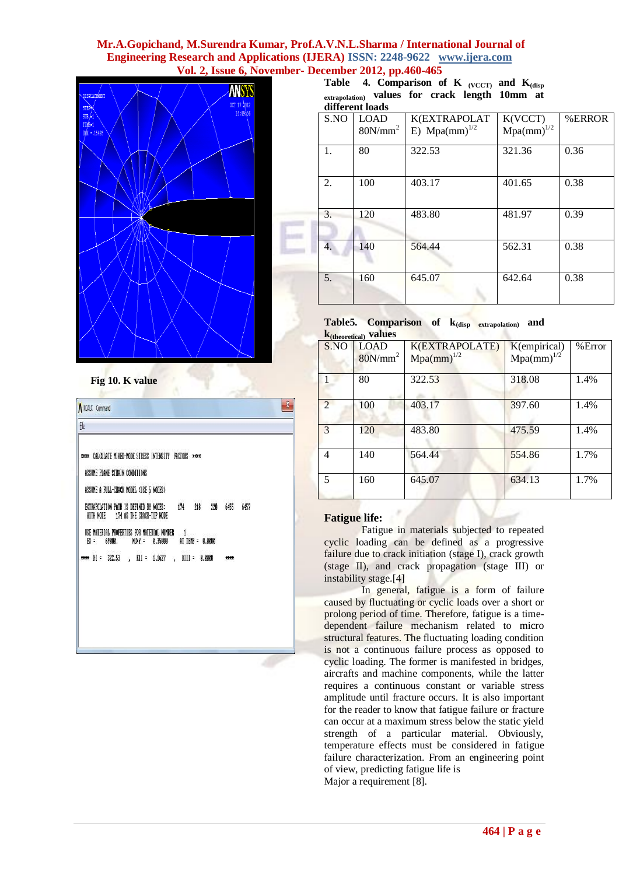

**Fig 10. K value**

| KCALC Command<br>f                                                                                                              | X            |
|---------------------------------------------------------------------------------------------------------------------------------|--------------|
| CALCULATE MIXED-MODE STRESS INTENSITY FACTORS ****<br>ASSUME PLANE STRAIN CONDITIONS<br>ASSUME A FULL-CRACK MODEL (USE 5 NODES) |              |
| 218<br>220<br>EXTRAPOLATION PATH IS DEFINED BY NODES:<br>174<br>WITH NODE<br>174 AS THE CRACK-TIP NODE                          | 6455<br>6457 |
| USE MATERIAL PROPERTIES FOR MATERIAL NUMBER<br>AT TEMP = 0.0000<br>69000.<br>NUXY =<br>0.35000<br>BX =                          |              |
| 322.53<br>$\vert$ KII = 1.1627<br>$\mathbb{K}$ =<br>$KIII = 0.0000$<br>$\sim$                                                   |              |

Table 4. Comparison of K **(VCCT)** and K<sub>(disp</sub> **extrapolation) values for crack length 10mm at different loads**

| S.NO | <b>LOAD</b><br>$80N/mm^2$ | <b>K(EXTRAPOLAT</b><br>E) $Mpa(mm)^{1/2}$ | K(VCCT)<br>$Mpa(mm)^{1/2}$ | %ERROR |
|------|---------------------------|-------------------------------------------|----------------------------|--------|
| 1.   | 80                        | 322.53                                    | 321.36                     | 0.36   |
| 2.   | 100                       | 403.17                                    | 401.65                     | 0.38   |
| 3.   | 120                       | 483.80                                    | 481.97                     | 0.39   |
| 4.   | 140                       | 564.44                                    | 562.31                     | 0.38   |
| 5.   | 160                       | 645.07                                    | 642.64                     | 0.38   |

#### **Table5. Comparison of k(disp extrapolation) and k(theoretical) values**

|                | $\mathbf{u}$ (пеогенсан) $\mathbf{v}$ из состав |                 |                 |        |
|----------------|-------------------------------------------------|-----------------|-----------------|--------|
| S.NO           | <b>LOAD</b>                                     | K(EXTRAPOLATE)  | K(empirical)    | %Error |
|                | $80N/mm^2$                                      | $Mpa(mm)^{1/2}$ | $Mpa(nm)^{1/2}$ |        |
|                | 80                                              | 322.53          | 318.08          | 1.4%   |
| $\overline{2}$ | 100                                             | 403.17          | 397.60          | 1.4%   |
| 3              | 120                                             | 483.80          | 475.59          | 1.4%   |
| 4              | 140                                             | 564.44          | 554.86          | 1.7%   |
| 5              | 160                                             | 645.07          | 634.13          | 1.7%   |

## **Fatigue life:**

I

Fatigue in materials subjected to repeated cyclic loading can be defined as a progressive failure due to crack initiation (stage I), crack growth (stage II), and crack propagation (stage III) or instability stage.[4]

In general, fatigue is a form of failure caused by fluctuating or cyclic loads over a short or prolong period of time. Therefore, fatigue is a timedependent failure mechanism related to micro structural features. The fluctuating loading condition is not a continuous failure process as opposed to cyclic loading. The former is manifested in bridges, aircrafts and machine components, while the latter requires a continuous constant or variable stress amplitude until fracture occurs. It is also important for the reader to know that fatigue failure or fracture can occur at a maximum stress below the static yield strength of a particular material. Obviously, temperature effects must be considered in fatigue failure characterization. From an engineering point of view, predicting fatigue life is Major a requirement [8].